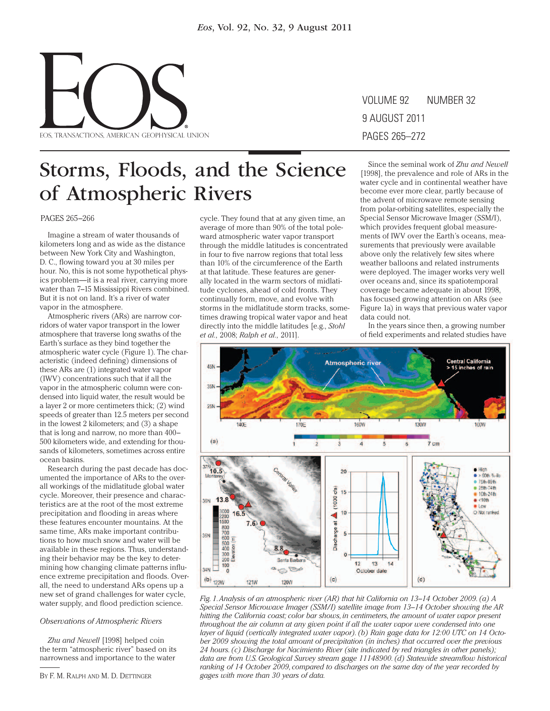

# Volume 92 number 32 9 AUGUST 2011

# Storms, Floods, and the Science of Atmospheric Rivers

# PAGES 265–266

Imagine a stream of water thousands of kilometers long and as wide as the distance between New York City and Washington, D. C., flowing toward you at 30 miles per hour. No, this is not some hypothetical physics problem—it is a real river, carrying more water than 7–15 Mississippi Rivers combined. But it is not on land. It's a river of water vapor in the atmosphere.

Atmospheric rivers (ARs) are narrow corridors of water vapor transport in the lower atmosphere that traverse long swaths of the Earth's surface as they bind together the atmospheric water cycle (Figure 1). The characteristic (indeed defining) dimensions of these ARs are (1) integrated water vapor (IWV) concentrations such that if all the vapor in the atmospheric column were condensed into liquid water, the result would be a layer 2 or more centimeters thick; (2) wind speeds of greater than 12.5 meters per second in the lowest 2 kilometers; and (3) a shape that is long and narrow, no more than 400– 500 kilometers wide, and extending for thousands of kilometers, sometimes across entire ocean basins.

Research during the past decade has documented the importance of ARs to the overall workings of the midlatitude global water cycle. Moreover, their presence and characteristics are at the root of the most extreme precipitation and flooding in areas where these features encounter mountains. At the same time, ARs make important contributions to how much snow and water will be available in these regions. Thus, understanding their behavior may be the key to determining how changing climate patterns influence extreme precipitation and floods. Overall, the need to understand ARs opens up a new set of grand challenges for water cycle, water supply, and flood prediction science.

# *Observations of Atmospheric Rivers*

*Zhu and Newell* [1998] helped coin the term "atmospheric river" based on its narrowness and importance to the water

cycle. They found that at any given time, an average of more than 90% of the total poleward atmospheric water vapor transport through the middle latitudes is concentrated in four to five narrow regions that total less than 10% of the circumference of the Earth at that latitude. These features are generally located in the warm sectors of midlatitude cyclones, ahead of cold fronts. They continually form, move, and evolve with storms in the midlatitude storm tracks, sometimes drawing tropical water vapor and heat directly into the middle latitudes [e.g., *Stohl et al.,* 2008; *Ralph et al.,* 2011].

Since the seminal work of *Zhu and Newell* [1998], the prevalence and role of ARs in the water cycle and in continental weather have become ever more clear, partly because of the advent of microwave remote sensing from polar-orbiting satellites, especially the Special Sensor Microwave Imager (SSM/I), which provides frequent global measurements of IWV over the Earth's oceans, measurements that previously were available above only the relatively few sites where weather balloons and related instruments were deployed. The imager works very well over oceans and, since its spatiotemporal coverage became adequate in about 1998, has focused growing attention on ARs (see Figure 1a) in ways that previous water vapor data could not.

In the years since then, a growing number of field experiments and related studies have



*Fig. 1. Analysis of an atmospheric river (AR) that hit California on 13–14 October 2009. (a) A Special Sensor Microwave Imager (SSM/I) satellite image from 13–14 October showing the AR hitting the California coast; color bar shows, in centimeters, the amount of water vapor present throughout the air column at any given point if all the water vapor were condensed into one layer of liquid (vertically integrated water vapor). (b) Rain gage data for 12:00 UTC on 14 October 2009 showing the total amount of precipitation (in inches) that occurred over the previous 24 hours. (c) Discharge for Nacimiento River (site indicated by red triangles in other panels); data are from U.S. Geological Survey stream gage 11148900. (d) Statewide streamflow historical ranking of 14 October 2009, compared to discharges on the same day of the year recorded by gages with more than 30 years of data.*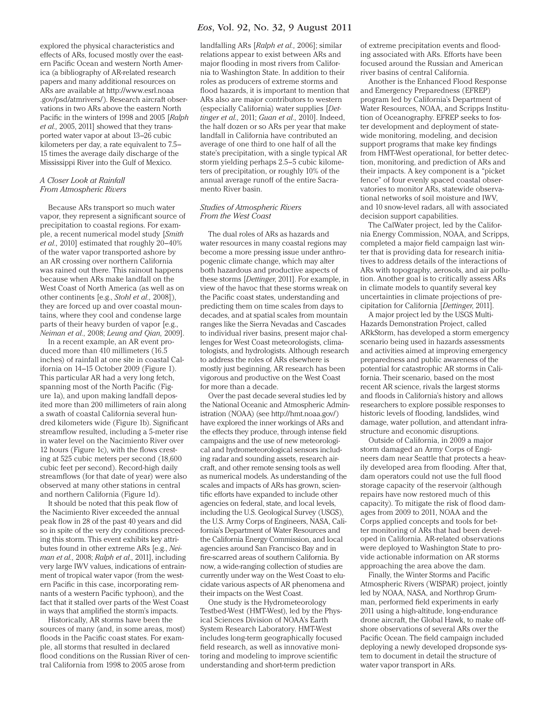# *Eos*, Vol. 92, No. 32, 9 August 2011

explored the physical characteristics and effects of ARs, focused mostly over the eastern Pacific Ocean and western North America (a bibliography of AR-related research papers and many additional resources on ARs are available at http://www.esrl.noaa .gov/psd/atmrivers/). Research aircraft observations in two ARs above the eastern North Pacific in the winters of 1998 and 2005 [*Ralph et al.,* 2005, 2011] showed that they transported water vapor at about 13–26 cubic kilometers per day, a rate equivalent to 7.5– 15 times the average daily discharge of the Mississippi River into the Gulf of Mexico.

#### *A Closer Look at Rainfall From Atmospheric Rivers*

Because ARs transport so much water vapor, they represent a significant source of precipitation to coastal regions. For example, a recent numerical model study [*Smith et al.,* 2010] estimated that roughly 20–40% of the water vapor transported ashore by an AR crossing over northern California was rained out there. This rainout happens because when ARs make landfall on the West Coast of North America (as well as on other continents [e.g., *Stohl et al.,* 2008]), they are forced up and over coastal mountains, where they cool and condense large parts of their heavy burden of vapor [e.g., *Neiman et al.,* 2008; *Leung and Qian,* 2009].

In a recent example, an AR event produced more than 410 millimeters (16.5 inches) of rainfall at one site in coastal California on 14–15 October 2009 (Figure 1). This particular AR had a very long fetch, spanning most of the North Pacific (Figure 1a), and upon making landfall deposited more than 200 millimeters of rain along a swath of coastal California several hundred kilometers wide (Figure 1b). Significant streamflow resulted, including a 5-meter rise in water level on the Nacimiento River over 12 hours (Figure 1c), with the flows cresting at 525 cubic meters per second (18,600 cubic feet per second). Record-high daily streamflows (for that date of year) were also observed at many other stations in central and northern California (Figure 1d).

It should be noted that this peak flow of the Nacimiento River exceeded the annual peak flow in 28 of the past 40 years and did so in spite of the very dry conditions preceding this storm. This event exhibits key attributes found in other extreme ARs [e.g., *Neiman et al.,* 2008; *Ralph et al.,* 2011], including very large IWV values, indications of entrainment of tropical water vapor (from the western Pacific in this case, incorporating remnants of a western Pacific typhoon), and the fact that it stalled over parts of the West Coast in ways that amplified the storm's impacts.

Historically, AR storms have been the sources of many (and, in some areas, most) floods in the Pacific coast states. For example, all storms that resulted in declared flood conditions on the Russian River of central California from 1998 to 2005 arose from

landfalling ARs [*Ralph et al.,* 2006]; similar relations appear to exist between ARs and major flooding in most rivers from California to Washington State. In addition to their roles as producers of extreme storms and flood hazards, it is important to mention that ARs also are major contributors to western (especially California) water supplies [*Dettinger et al.,* 2011; *Guan et al.,* 2010]. Indeed, the half dozen or so ARs per year that make landfall in California have contributed an average of one third to one half of all the state's precipitation, with a single typical AR storm yielding perhaps 2.5–5 cubic kilometers of precipitation, or roughly 10% of the annual average runoff of the entire Sacramento River basin.

# *Studies of Atmospheric Rivers From the West Coast*

The dual roles of ARs as hazards and water resources in many coastal regions may become a more pressing issue under anthropogenic climate change, which may alter both hazardous and productive aspects of these storms [*Dettinger*, 2011]. For example, in view of the havoc that these storms wreak on the Pacific coast states, understanding and predicting them on time scales from days to decades, and at spatial scales from mountain ranges like the Sierra Nevadas and Cascades to individual river basins, present major challenges for West Coast meteorologists, climatologists, and hydrologists. Although research to address the roles of ARs elsewhere is mostly just beginning, AR research has been vigorous and productive on the West Coast for more than a decade.

Over the past decade several studies led by the National Oceanic and Atmospheric Administration (NOAA) (see http://hmt.noaa.gov/) have explored the inner workings of ARs and the effects they produce, through intense field campaigns and the use of new meteorological and hydrometeorological sensors including radar and sounding assets, research aircraft, and other remote sensing tools as well as numerical models. As understanding of the scales and impacts of ARs has grown, scientific efforts have expanded to include other agencies on federal, state, and local levels, including the U.S. Geological Survey (USGS), the U.S. Army Corps of Engineers, NASA, California's Department of Water Resources and the California Energy Commission, and local agencies around San Francisco Bay and in fire-scarred areas of southern California. By now, a wide-ranging collection of studies are currently under way on the West Coast to elucidate various aspects of AR phenomena and their impacts on the West Coast.

One study is the Hydrometeorology Testbed-West (HMT-West), led by the Physical Sciences Division of NOAA's Earth System Research Laboratory. HMT-West includes long-term geographically focused field research, as well as innovative monitoring and modeling to improve scientific understanding and short-term prediction

of extreme precipitation events and flooding associated with ARs. Efforts have been focused around the Russian and American river basins of central California.

Another is the Enhanced Flood Response and Emergency Preparedness (EFREP) program led by California's Department of Water Resources, NOAA, and Scripps Institution of Oceanography. EFREP seeks to foster development and deployment of statewide monitoring, modeling, and decision support programs that make key findings from HMT-West operational, for better detection, monitoring, and prediction of ARs and their impacts. A key component is a "picket fence" of four evenly spaced coastal observatories to monitor ARs, statewide observational networks of soil moisture and IWV, and 10 snow-level radars, all with associated decision support capabilities.

The CalWater project, led by the California Energy Commission, NOAA, and Scripps, completed a major field campaign last winter that is providing data for research initiatives to address details of the interactions of ARs with topography, aerosols, and air pollution. Another goal is to critically assess ARs in climate models to quantify several key uncertainties in climate projections of precipitation for California [*Dettinger*, 2011].

A major project led by the USGS Multi-Hazards Demonstration Project, called ARkStorm, has developed a storm emergency scenario being used in hazards assessments and activities aimed at improving emergency preparedness and public awareness of the potential for catastrophic AR storms in California. Their scenario, based on the most recent AR science, rivals the largest storms and floods in California's history and allows researchers to explore possible responses to historic levels of flooding, landslides, wind damage, water pollution, and attendant infrastructure and economic disruptions.

Outside of California, in 2009 a major storm damaged an Army Corps of Engineers dam near Seattle that protects a heavily developed area from flooding. After that, dam operators could not use the full flood storage capacity of the reservoir (although repairs have now restored much of this capacity). To mitigate the risk of flood damages from 2009 to 2011, NOAA and the Corps applied concepts and tools for better monitoring of ARs that had been developed in California. AR-related observations were deployed to Washington State to provide actionable information on AR storms approaching the area above the dam.

Finally, the Winter Storms and Pacific Atmospheric Rivers (WISPAR) project, jointly led by NOAA, NASA, and Northrop Grumman, performed field experiments in early 2011 using a high-altitude, long-endurance drone aircraft, the Global Hawk, to make offshore observations of several ARs over the Pacific Ocean. The field campaign included deploying a newly developed dropsonde system to document in detail the structure of water vapor transport in ARs.